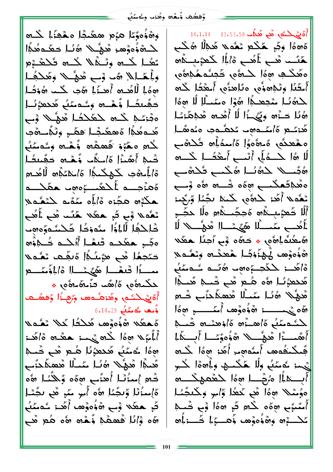وُهِهُم وُجْهُ وهُزِب وشُمْعُبُ

وَهُوُومُ مِنْ مِنْ مَعْدَدًا وَهُجَرَا كَلْمَ لكِ هُوُوهُم، هُدُلا هُ نُما حَمَّدَهُ لَا مُعُمِّل حُمْدِهِ وَيُنَمُّلا حُمْدِهِ فَكِعْتَهِم ولُمَّالا هُ- وْبِ هُوَّــٰ وَهُـٰكِ أَمَّــٰ ههُا لْلْعُــهِ أُهنَّا هُبَ كُــه هُوَيُّـا ەبْزَعْكِ كُلُبُ حَكَلَاتُكُمْ شَهِيْلًا وْجِ هُــوهُدا وَهِعُـجْـا هِمَــ وِنْدُ ــوْم لْدُهِ مِعْبُرْ فَعِيفُهِ زُهْلِهِ وِشُومْكُم خْمِهِ أَهُمْزَا هَا ذُهَا وُهْــ3 حَجَّىنفُـا هْ/بِٱمِهْجِ حَكِيكِكُمُ ﴾/مناخَلُوه لْأَهُدِهِ ةهزْجِسه لْمُحْشَبِّرْه» ممكَّلِسه هكْبْرُه هجُزه هْ/بُّه مْكُمُه حْكْمُهِ» نْعُدَلا وْبِ ثَمِ حَقَلا حَمَّد شَبِ أَمُّبِ خْلِكِمَا لِّلْلِّوَٰا ۖ مِنْدَوْخُلِ خَكْسُدَوُهِ وَوَ ەكبر ھەكدە قىشلى أىكىم فُسِمْوُو حَمْحِهُا هُبِ مِبْسُمًا هَبِفَـم نَعْـه مسأل فْبِهْسا هَيْ بْسال وْالْمُ مْسْبِعْرِ ملكمةُ من أمُّف حَنُمةَ مؤومٍ أَهْ يَكْسُمِ ۖ وَهُٰٓ:هُـدهم ۖ وَرُهِــزُا ۖ وَهِهُــت  $6.14.29$   $\stackrel{?}{\longrightarrow}$   $6.14.29$ هُـعفَلا ۞ُوُهوُهـ، هَٰلِكُمْ كَلا مْعَـُـه/ أَبِكُمْ الْأَمِيلِ الْمُحْمَّلِ الْمُحَمَّلِ مِنْ الْمُحْمَّدِينَ مِنْ الْمُحْمَّدِينَ هِهُا شَمَعُهُ هَٰدِهِ ُلا هُـمِ هُبِ شَمِهِ مُّدجُّا مُدهَّلا هُنَا مَّدكُا مُعجَّدَتَب خُمْ إِسْزَٰنَا أُهْنَى وَوَّهُ وَّكْنُا وَّهَ هُ﴾معزُّنْا وُبِّجْمًا ۞ُه أُجرٍ مَمْ ۚ هُي بِجَّيْهَا كِّع هطَلا وْبٍ ۞وُّووْها أُهَٰذِ شُومَنْكُ هُه وْٱلْأَ فَعِيهِكُمْ ذُهُرُهِ هُهُ هُمْ هُمْ

 $14.1.14$   $13.53.58$   $\lambda \rightarrow \infty$   $\lambda$   $\rightarrow \infty$   $\lambda$   $\rightarrow \infty$ ەُھەُا وِجَرِ هَكُم يْعُمِيْ هُدِلًا شَكْمِ هَنَـــد مَنْـــع أَهُنْــع وَالْجَلَا لَكَعَبَرْمَلِينَكُمْ وَهُكُـُ وَوَٰا لِكُـوَّى خَبَسُهُمْ وَهُ أَمِثَنًا وِلْلِهُوْمَ، وَلَاهِزُو، أَمِعْثَا لَحْم لِحْمَٰنَـٰا مُجْعَـٰجًا هُوْٓا مِمْـٰلًا لَا هِمَّا هُنُا حَـٰٓوَى وَيُّـٰٓءَۢا لَٰٓا ٱهْـه هُدِهَٰٓءَـُـا هُزئتُم هُامِنَّــــــموت مُحصَّـــمت منصمَّـــا مشعث مُن وَوْا وَاسوا وَاللَّهُ مَكْتُوب لًا هَا حَــهُ بِهِ أَسْبِ أَحْدُكُـا حْـــهِ ھُجَّىـــلا لَـلَھُنُــا ھُـكَــب تُـلَّـھُــب ەھْكِكْمْكْسى ھەرە خْسە ھە ۋىس مْعُمْدٌ أَهُدَ لِحَدُّهِ، لَكُنهُ بِجُمْاً وَٰٰٓءِكُمْ وَ ٱلْل خَعبَىبِــٰكُمِ ہَججُـــٰكُمِ ولَٰل حجّــہِ هُ حَمْدُهُ إِهْمٍ \* حَمَّهِ وَبِي أَجِبُلَ هِعَكِلا @ؤُوڤوما لُمْخُوَجُا هُعِدْ و عُهُدَ لِهُ ةَأَهَــز للكَجِــزِّهِ وه الله عَــه مَــه مَمْكُم هُدهبُرُنَا هُ٥ هُـم هُـع ضْـهِ هُــهِ هُدُلا شَدْلًا مُسْلًا شُعْدَهُدَّبٍ شُـْع  $\int$ لكشممَّتُم ةاهدْرُه ةاوْهشده شَملِهِ أَهُمِيًّا مُدِيُّسِ اللَّهُ وَوَوَّسَا أَبِيدَاً إ قَمِكْمَعُمِمَا أَمِنُمِهِمِ أَهْزِ هِهَ لَكُس لْيَمِنْ شَمَعُكُ وِلَٰا هَكْمَـــلِ وِلْمُحَامَ لَكَــبِ أبناباً مُرجِّـا هِهْ! كَعْمَهْكُـــه ەۇسْلا ھەل ھى كىغا ۋايو وڭلېئىل |أَمَنَّبَى وَوَّهَ كُلُّ فَيْ وَوَا فِي ضَبِّعْ ككسره وشؤهوها وصيرا خسراه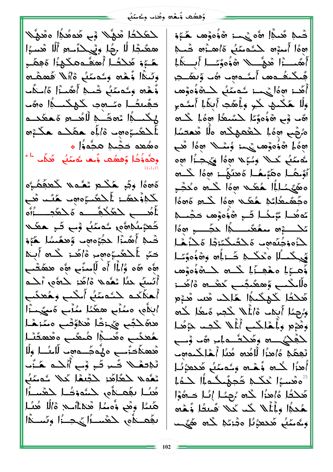وُهِهُم وُجْهُرُ وهُنِ وهُمَمُكُ

للطَّلْطُ مُدْمٌلا وْمِ هُومُدْمُ ومُدمَّلا همَّدَبُمْ لَا رجُل وَيُحِكَّدُمِ ٱلْا شَمْعُ! هُجَو هُكْتُمْ أُهلَقُومَكُهُوُّ أَهِمَّ وِنَىٰذًا وُهُ۞ وِشُومَٰنُ ۞ٱلا ۚ فَعِهِمْسِ وَّهْ1ه وَشَمِيَّتُ خَيْبًا أَهُيْرًا هَا يَنْكُب دَڢُىڭا ەۡــُەب ێٚۿڴٮ؋ؙٳ ەەٗ بِكَسِيمًا يُوجَسُمِ لَأْهُسِ وَحِعَدَت أَلاهُبِ وهوب وْالْمُ مِكْلِم مِكْبْرَه ٥ﻫُﻌﻪ ﺧﺠُﻤِڋ ﻋﺠُّﻪﺅٗۢٳ وهَّەؤُكُل وُقْعُهَا وُلْعًا شَامَّكُنْ - مُكَلَّى - <sup>يَا ي</sup>ْ ەُھەُا وِجَرِ هَكُمْ يْعْدَمْ لَمْعَيْشُونَ وَجَدِيَّةٍ لَكَمْؤُهِفَ ۚ أَلَكَفُتُمْ وَ مِنْ هُنَّبَ مُحَ أَهُـــــــ كِمَكْفُــــــه مَكعَّدِـــــزُهُ كُعبَرْسُلَاهُ) مُدَسَّلُ وُسب كُبِرِ حكَملا ضُمْ أَهُمْزَا حَجَّءُومٍ وَحَقَمَمًا هَيَّةٍ حَمِّ لَمَكْكَسِمُ٥٥مِ وْاهْدِ كْـ٥ أَبْدَ وَّهِ وَالْمَالُ وَالْمُعَنِّبِ وَهُوَ مَعَمَّضُبِ أَنَسَبَ حِبًا مُعَمِّد أَاهَٰ: لَحِقُو أَلْحَد أهنأكم للشاملة أمكب وهُعلَب اَبْتُمِيْمِهِمْ مِمْلَامٍ مِمْكِمًا مِمْلَاسٍ هَمِيَهِمْ ٱ همَا حَجَّى مَيْ ذَا هُدَوَّفْ مِمْ هُمْ ا هُعنَسَى وهُنَــٰهُ! هُنعَنَبِ وهُعفَقَنْـا هُتَمَادَنُـب مهْدَـُـــدهِ لَلْمُـُــا وَلَلْـ لْلِمَهْلا شَه ثَمِ وْبِ ٱلْمَدْهِ هَـٰٓ: نْعُومْ لِلْحُلْمَٰ: لِكَبْعْا كُلّ شُومْتُهُ هُنُـا بِفَعـندُهِ حَسَّوذُـا حَشَسـرُا هَٰىئا وفْعٍ وُّەممُا فْتَعَالَىكَ وْاللَّا هُنُـا لَفَعِيدًا وَسَيْدَ الْمَسْتَدَاعِ وَسَيْدَا

ضَمِ مَعِمَّ! ۞ُه يُهِم: ۞ُؤُهوُها هُمَّوُو هِمَا أَسْوَهِ لِلْمُصَمِّبُ وَأَهْدَرُهِ خَمْلِهِ أَهُمِ أَ لَا شَيْ لَا شَوْءَ وَ اللَّهِ الْمَسْلَمَ لَهِ جُىگىخُــەما أُمئــە۞ب ۞ب ۆٖىھَــج أَهَدَ وَوَاجِعَدَ شَوْعَكُمْ لَحِدَةٌ وُوقِهَا وِلًا هَكُمهِ لَكِ وِبْهِهُمِ أَبِيْمَا أَمِنُومِ رَّفَ وَّى رَهُوُهِ مَّا لِمُسْعَلِ رَهُمَا كُلُوهِ ەُرْضُى «ەْءُ كْمُعْصْلَات ەلَّا مْعتسُا بِعَهُ أَوْمِ الْمَشَوْ بَمِنَ مِعْهُوهُ وَفَقَّ لَهُمْ ٥٥] اَبْجِرِيْ أَ٥٥] مِجْمَعِ الْكُلْمُ وَلَمْعَة أَوُّمِكُمْ وَهَٰٓءٌ مِمَّا وَهُمْكُمْ وَوَٰٓءَ الْكُمْرَةِ مِشَهْدًا أو الْمُعَكَّدِ الْأَلْمَرْهُ مَكْتُم وَجَعَمْ عَلَيْهِ حَمَدُ ١٥٥٧ لَكْتُمْ وَ٥ مُوهُـا يُبِيحُـا ثَـبِ وُوُووْها حَجْمــهِ تَكْتَبِهُمْ مُعْقَدِينَكُمْ لِمَجْتَبِينَ وَوَٰا لأوزجُلُوهِ وَكَتَسَكْتُرْجُلْ وَكَرْهَا فَي كَمالًا هِ دَكْــهِ ضَـٰزِيْهِ وَهُوَٰهُوَّسَا وَعِيدِ الْمَشْهَدِ إِلَى الْمَسْرِهِ مَدْرَةٍ وَوَهِمَا ەلگىكى ۋەھگىجٌىپ كەنْسە ۋاھْد مُحْدُر كُمِكْتِما هَاحْتَ مُعَتَّمَ مُّتَوَّم وُرجِمًا أَبِيهِ وَٱلْمَلَا جُجِبِ وَمِطَا جُمِ وَهْيَمِ وَأَهْلِكُبِ أَنْمَلا كُجِب حَرَّهُا لْمُشْكَى مِنْ وَهُلْكُمْ وَاءِ وَهُ وَْسَى نْعِصُمْ وُاهِزًا لْأَهُدِهِ هُنُا أَهْلِكُنوهِب أُهزُا لَكُـ وَقَصْدَه وَشَوْعَكُمْ هَٰكَهُمْ إِنَّا ُّەمْسىرًا مْكَــمْ خَجِهُـىگـولَمَّا حَــوُلِمَّــو هَٰكِتُا هُاهِزًا كُلُّهِ رُجِئًا إِنَّا حَـهُوْا هُدِيٗا وٰ إِنَّا لَا حُد حَدٌ قَسِطُ وَّهُ¤ وَحَقَقَهُم مَحْدَدُ مُؤْتَمًا لَهُ مَنْ مَنْ مَنْ مَنْ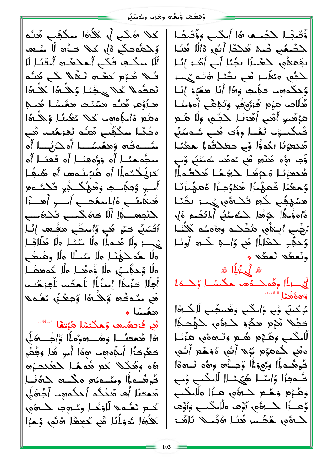وُهِهُم وُجْهُرُ وهُزِبٍ وشُامَيْكُمْ

كْمِلًا شُكْبُ أَنْ كَلاُّهُا سِكْفُبٍ هَبُّ وَّكِمُّەجكَّى ةَ)، كَمَلا حَـزْه لَّا مُـْـهـ ٱلْلہ حُکْبُ وَ اُحْکَمِ اللہ کَا اللہ کَا اللہ اللہ ک ثَــلا مْــٰٓةٍم كَـفَــم نَــٰٰهُلا كَـــم هَٰنـُـه نُعدُه الْأَكْمَاءِ مَنْ الْمَحْمَدِ الْمَدْهَا الْمَحْدَةُ هـأَوْها هُكُـه همَّنْتُـجا هِمَّسُـل هُنــهِ ەھُم ەُلمُوەمى كىلا كېنىئا ۆللىھ ەجُخْا مىڭگَى مُنَّە نْھزىمَنى شَے منْــــوثُــه وَهمْمُسُـــا أو كَرُبُـــا أو مدجُّدهنُــا أَد وَوُدفنُــا أَد ثَـٰفِـُـا أَد كَزِهْكُشُه أَلَا أَه هُبُمْسُهِما أَه هَٰىفُ] أُسِبَر وَّجَدَّسَتِ وَهُوَيَّكُمْ وَهُدَّسُومِ هُدَلَّامَـُــــِ هَا لِمَــمْتِـــِ أَمــَــَـرِ أَهــــَزَا كْتُحِمْكُمْ ٱلْلَّا حَمُّكْنَبِ قُكْمُنَبِ أَكْتُبَ ۖ حَبَّہٖ هَٰٓ وَّاۡسَجَّےٖ مِنفُـما إِنَّـا يُصِبَ وَلَا هَٰدِهَ أَلْمَ مُحْدًا وَلَا هَٰذَا وَلَا مَحْلَاجُهِ ولُا حَدَكِمُنَـا ولَا مَمْــلَا ولَا وِهُمعُــع ولُا وِّحجَٰنِيْ ولُا وُومُنا ولُا خُومِصَا أُهِلًا حَزَّىبًا إِسْزَٰٓاً أَحْصَّى أَفِرْهَٰت هْمِ مِنْدَدْهِ وَلِلْأَهُ وَجِعْنَى نَعْدَلا مؤسسات  $\sim$ مَعْ هُوَدَهُمِها وَالْمُسْتَمَارِ هُوَيْتَهَا  $\sim$ هُا هُعْمَنُــا وَهُـــهُوَّه أَلْهُ وَٰٓاجُـــهُ لَيْ حَعَّذِحَزَٰا ٱمْذَهَبَ وَوَٰهَا ٱبْنِ هُدَا وَقِعَيْهِ هُه وَهُلُكُ لَمُع هُدهُهُ لِمَعْدَدِيْهِ خُرِهُــولَمْ ومُــوْرُهِ وكُـــهِ لِحَمُّ لَــا هُعِمَلًا أَبِي هَٰذُكُم أَحِكُمِهِ ۖ أَجُرْهُ لِّي كُمِرْ يْعُمْدْ لْأَوْجُمْ وَيُنْهُمْ لِحْدَةُو لِ كَلُّهُا هُوَأَنَّا هُي كَعِعْدَا هُوَ وَحَيَّا

وَّقَبْصًا حَجَّىم هَٰا أَعْصَى وَوَّقَبْصًا ِكْجُ**ِهُبِ** ضُبْهِ هُكِخْا أَنُورٍ وْالْل هُنُـا بِفَعِنفُوسِ لِكَمْسَرًا بِجَمَا أَبِي أَهْدِ إِنَّا سَرَرُ مدَّمًا لَدَبُ سَكَّمَ مَتَكَمَّلٍ مَثَلَّمَةٍ مِنْ مَثْلِكِمَّةٍ مِنْ مَثْلِكِمَّةٍ مِنْ مَ وَّحكُمِهِب حَبَّمَتِ وَهَٰا أَمَّا هَجَّءٍ إِنَّا هَٰڵڶڝۦڡۂؚۄ؞ٚڡؙۘؗڹۥؚٞٛؽؘڡۭ۠ۢڔۦۏٮؙٚڋۿؠۦڵٛۄۏٮٮۢٵ هِ مُحْسِرٍ أَهُمِ أَهْرَبُـا ۖ كَجُـُـمٍ ۖ وَلَا هُــع تُمكْسجَى لْفْسَا وِؤْدَ هْبِ شُـْمَمُّلُ هَٰدِهِ ۢبُلِ احْدوُۢا ۚ وٖۡبِ حَـهَٰٓدَحَٰٓء ۚ عَمَدُـا وَّبِ وَهُمْ هُدُومٍ هُمْ مُمَعُدٍ مُمَمَّلٍ وَّسِمِ هُدهرْنُا هَجَرْهُا لِهُهُا هُلَا هُلَّفُواْ وَّحكْمُا خَعِهُٰدُا مُحْوَّجِدُا هَعِهُٰدُنَا مَسْهِقِّى لَاهِ تَكْتُمُ مِثْمِنَ لِمُتَمِنَّةٍ لِمُتَمَرِّدَةٍ هُأُودُكُمُ الْجَهُدَ لَحْدُمَكُمْ أَبْلَنُصُمْ وَلَ رُضِّبِ ابْنَاهِ، هَضْكُمْ وَهُوَهُ كَلَّمُا وَجَدَبُبِ حَمْلِهُمْ لَي وَاسِطٍ حَمْدِهِ أُوِيْنَا ولَعظَلا لَعظَلا \*  $\mathscr{R}$   $\hat{\mu}$   $\hat{\mu}$   $\hat{\ell}$ أيجزأا وفوحسه مستسل وحساما مُبِكَمِّكَ وِّجٍ وَّامِكْنِي وِهُنْتَجِّنِي لَانْكُنْدُا حَجَّلا مُثَرِّم مِنْهُ فَلَدِهُ لِكُمْجِــٰهِ ا لْالْمَكْبِ وَهَٰٓءُم هُـع وَلَــْـهِ٥َ٥ هَزَّـُـا هُم گُمُعَ مِمْ لَا تَمْ لَا هُمْ وَهُمْ اللَّيْ ثَبِهُـدِبَاْلِ وِرُّودِبَاْلِ وَجِــزُه وَهُو صُــهوْهَا حَـٰدِمَٰٓا وَّاٰمُـا هَيُمۡاا لَّاحُب وْب وهَـٰٓءُم وَحَمَـٰم لِلْـوَّہِ مِـزًا وَلَاحْکَمِـعِ وَّهِــزًا ۖ لِمَــرَةَى أَوْهَـ وَلَأَمَكْسِــعِ وَأَوْهَـ لمستَّى هَجَسب هُنُما شُهَيب نَاهُد: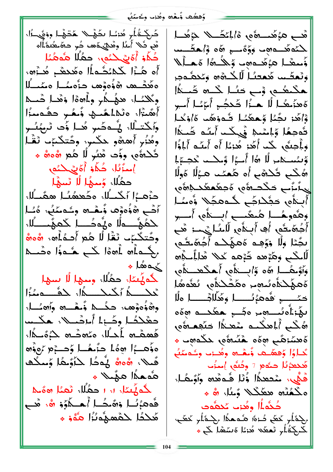وُهِهُم وُجْهُرُ وهُنِ وهُمَمُكُ

ضَرِكْـةُلُر هُـْـُـا ىضَهْـــلا ـهَـتَـهْـا وفقُـــاُكْ هُم قُلا أَمُلُا وقُدِينٍ هُ ها حُرِ حقَّ هُنفٌ أَاَّهِ حُكُوْ أَهْيَحْتُم، حمُّلًا هُوهُنَّا أَه هُـزًا لَكُمْئُـهِـلًا هِ هَٰذِهَٰـمٍ هُـزْهِ. ەھكىسە شۇەۋھە ھۇەمئىل ەمئىسلا وكُلْمُا، هِيُكُر وِلُمِهْا وْهْدا ضْبِهْ أَهُىبْزَا، ولْمَالْمُسَى وُّىمُبِ حَقَّوْمَيْزَا وَٱكْتَـٰلًا، إِنُّــهضَـٰبِ هُــا وَّٰت نْرِيمُنُــبِ وهُنُر أُهشُو هكْسرِ، وكُتكْمَ ٍ لْغْـا ثَلِهُم وَوَّدٍ هُنُو لَّا هُمْ شُهرَّةٍ ﴾ إِسْؤُنُا، شُكُّوْ أَهْنَى لَّكُمُو ِ حَمَٰلًا، وَسَهُا لَّا نَسَهْاً حزْهِجُ الْكُمِلَا، وحُعِمُهُمَا هِهَمِلًا، أَثْبِ ۞ُؤُووْها ؤُمِهْلِهِ وِشُومَنِّكٍۥ ۞ُلْبِ وحُتكُمَ ۖ لَغْلَ لَّا هُم أَحِدُلُهِ ۚ وَهُ وَ وَ بِكَـهِ أَمَّاهُمْ لَكُـبٍ هُـُـهِ وَٰا هِ صَـٰهِ \* Løge لْحُوَيُّبَنَا، حَمُّلًا، وحجا لًا سَجَا تَحْكُسُكُمْ كُمُكُمْ وَالْمُنْكُمُ وَالْمُؤَالِمَا يَوْمُ وَالْمُؤَالِمَ وَقَوْدُوهِمَ : حَكُمْ وُمِفْسِهِ وَأَهْلِمْ. دهْكْدُ ودُخ؛ أُمادْسِكا : هكْسِ كُمهِ مَ اللَّهُ اللَّهُ مَا وَ مَدَّى اللَّهُ مِنْ اللَّهُ وَوَّهِـــرًا هِوَّا حَزَّىمُــا وَحِـــرَم رُووْه فَىلاً. ۞و۞ يُوطُ لِأَوُّبِهَا وَسِكُف هُ مَعْدًا عَهَّىٰ \* لِگُملُمَنَّا، ١، ١ حمُلًا، نَعْنَا 20 مَحْ فُەھڔُنُــا وَهُىــُــا *أَــم*ــكَ*اوُ*و ق. مْب مَحْدُا حَدْمُهِيَّهُ نُزُا هُدُّوْ \*

قْبِ هِبْهُمْسِيُّهِ، هُالِمُكْسِيْلا هِبْهُسَار لِكْتُوهُـــوهِـدِ وَوُوَّسِــو هُو وْأَحْقَـــت وُسِعْدا هِ ُمُدومِد وُلِكُ هُا هَـمَـاْلِلا وِلْعَصَّىبِ هُعْمَلُنَا لَّالَكُ هُ۞ وَغَيْجَاجَ هنْمعُــم، وْب حَيُــا كْـــــرْهُ خَمـــٰهُ! هُهٰنُمِكُمْ لَٰلَا هِـزُا خَجِجُجِ أَيَرُسُا أُسِبِ وْاهُدِ بِجَبْا وُحِعَيْبَا حُدوهُبِ وَاوِجْبَا الْهَجَمَّا مِنْهُمْ فَيَجْمَدُ أَمَنَّهِ خَمَيْهَ وِأَجِئُو ۚ كُب أُهُدَ هُدَيُا أَو أَسَد أَباؤُا وَّسُسنام لَّا هَٰا أَسْرًا وَّسْس كَجِعَ ا هُكُبِ قُدْهُبٍ أَه هُعِيْبٍ هِـبُلًا هَٰوِلًا بِهِ تُمَسِّي مَا مِنْ مَا عَلَى مِنْ تَمْسِير أَبِ``أَه حَبُّكْتَبِ كُـهِ مَجُلا وُّه مُنْ ا وَهُدوهُـــا هُىعُنــــ ابـــَدْهِ أُســـبر أَجُوَّمَتُمْ إِلَى أَبِيدًا مِنْ الْمِنْكُمْ يَمْسَرَحْ شَيْ ىجَدْا ولًا وَوَْهِـه هُحمُكِـه أَجُهَٰىـثَـم لَّامْكُبِ وَهَٰٓءٌ هُدَ هُدَهُ مَلَّا هُدَا بِٱمْلِهُ وَهُ وَأَوَّحَكُم أَنَّ وَأَبَّدَهُم أَحْدٌهِ خَلَّفَ ەْھۇڭدەنىسى ەھھىنىدۇ ئىقەھا بِهُزَاءُ سُدِهِ وَجَدٍ مِعَكَدٍ وَوَّهِ هُكُبِ ٱلمِكْتِ شَعِنْهُ احْتَجِعَةً وَ ەسئىزمى سەم ھى*ئدە؟ مىك*م بە تُماوُا وَقَقَصَفَ وُسَهْدِهِ وَهُدَبٍ وَشَوَسَكُ هُدهرُ لَا حَدُّهِ 7 وِضُفَّى إِسْتُفَ فَكِّي. مْععداً ذُلًّا قُـهوْده وَلَوُحكًا. ەڭگىنە ھەككىلا ۇمئل ۋە حُدَّمَاُل وهُزب مُحقَّقف بِجْدَٰلُہِ کَعَجَ دُءَ، هُـمْمَا بِجِـدَّلُہِ کَعَجْ۔ گَرِچَّةُ اُرِ نَعفَه هُزِيًا هَسَّهَا کَ \*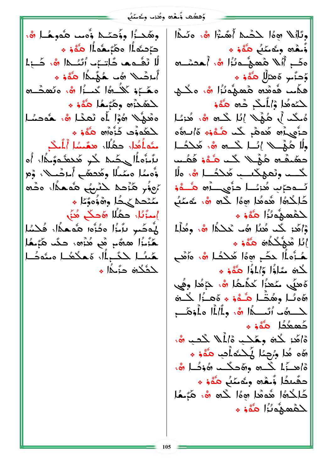وٌههُم وُمْهُ» وهُنا وهُمَهُ

وهُدِءُا وذُكِّكُ ذُهب هُومُكُ الْهِ: حَرْحِيَّهُ أَلْـ هُدَّمَةُ أَلَّـ هُدَّوْ ﴾ لًا نَعْــم م حُاتــبْ- اُنْـُــما \*. حُـــبْ ا أَمادُ ملا هُ مُهْمَدُا هُدُو \* معْهَوْ ݣْلْكُمْ كُنْسُوا مْنْ مَنْعْشَقْ لمَفْدُرُه وهُبُمُّا هُدُّوْ \* ەھْمْلا ھُوْلگە ئېڭىلى ھەدىئىل مِثْوَلُّعُلِنَّ حَقُلًا: هِمَّسُلِ ٱلْمُكْرِ بِلَمْنَ وَالْمَدْوَسَكَ بِكُمْ هَدَهُمْ الْمِنْدَةِ بِكُمْ الْمَدْرَةِ الْمَدَّةِ بِ وْْوِمْا وْمَمْلًا وِهُصِفَى أَمْرِضْمِهِ، وْمِ رُوؤُرِ هَٰٓ;َها كَلَّرْمِهُم هُوَهاً!، وَدُو مَنْحِكَى حُا وِرْهُ وُهِ كَيْمًا ﴾ إِسْأَنَا. حَقُلًا هَجَكُمْ هُنِّي لِثُوضَى لِلَّذُا وَدُوَّةَ هُوَهُمْلَ فَكِشَا هَزْمَزُا هِجْمَ هُوَ هُنْزُهِ: حَكَّ هَٰزُمَهُا هَينُا كِنُبِ أَلِّ هَمِكْعُا مِيْهِجًا لمثَكَّفه حنَّماً \*

وِيَلاَمِلا هِهَا بِحِشْمِهِ أَهْبِثْوا هُ: هِنْدِدَا فَعْدَه وَحُمَيْكُ هُدُّوْ ﴾ وَكَبِ أَلَمْلَا هُمْهُ وَيُزَا ﴾ ، أمدسْده وٌحزَّىرِ هَمْرُلُّ هُدُّوْ \* هكَمب هُومُده هُعمِيهُونُزَا ق. ولمُسْمِ لكفعُدا وْٱلْمَكْرِ دُرُه هِمُّوْ. ەْگُ لَى هُيْمٌ إِنَا كُلْ هُ . هُزْمًا دَّى أَنْ هَذَهُ لَكَ وَشَدَّةٍ وَاسْتَهْ ولًا هُهْــــلا إنْـــا كْـــــرَّة وَّ. هَٰــْــدُـــا حَقَّمَفُــِ ۞ هُمُــِـلا لَمُــد هُــُّةً وَ هَمُــيد لَّكُـــد ونُعِمِكْنِـــد مُكْدُّـــا ۞. وَلَا تُــومَ بِ هُزِيُــا حزَّى ـــأرَه هُـــةُوْ كَالْحُدُّا هُوهُا هِهُا كُلُّهِ ﴾ . هُمَنْكُمْ لِكَمْعِدِهُمْ أَنْ الْمُقَّوْرِ ﴾ وْاهُد; يَكْبُ هُنُا هُبْ يْمَكْمَا هُ: وهُلْمَا إِمَا هُدَّكْدُهُ هُدُّوْ \* هُـزُّه أَل حَضَّر هِهُ لَعَجْمًا هُو هَأْهُمْ لَّكْفُ مُعْلَوْاً وَٱلْمَوْاْ هَٰقُوْ \* هُهْلَى مُعْزًا كَذَّمَهُا قُو حَرْهُا وَهَى هَءِنُهِ وهُتُهِ وَسُدُّو ﴾ وَهيؤُا لَحْيَةٍ لك هُف ٱنْكُسْلُا رَبُّي وِلَمَالُمَا وَلَمْوَضَـــرٍ كُهِمْدُا هُدُّوْ \* ةُاهَدْ لَحْةُ وِهَكَبِ ةُالْمَلَا لَحْصِبِ ثَةٌ: هُه هُا وُرِجِئا هُكْشُاْئِي هُدُّوْ \* ةُاهِدَٰٓ جُمْدُ وَهُجِكْمٍ هُوۡصُلَ ﴾. حفَىكا وُحفَّه وحُمَيْكُ عَدُّوْ \* حَاكُمُ اهُومُا مِمُ لَا هِ مُِّ مَّبَهُم لِكَمْعِكِيْدَنُوْلِ هِمَّةٍ \*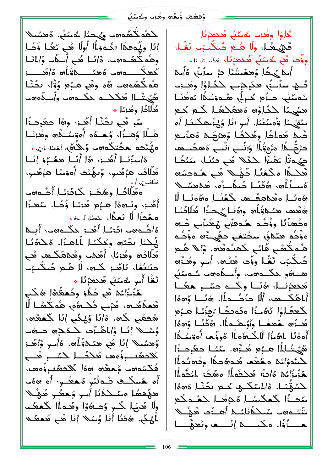وُهِهُم وُجْهُ وهُزِب وشُمْعُبُ

لكىشەة. شىشا شەير سەھەتكە }نُا ويُوهِجُا بِكُوفِظًا أُولًا شَبِ عَعْبًا وَّحُبًا وهُدَنُكْهُـدهد. وْٱنْـا هُـع أَسلَاب وْٱلمْنْـا كعلاً \_\_\_ەم ەُمئے كۆگە ەُاھىز هُمثُهُموما وَهُ وَهُمْ هَـهُمْ وُوَّا. يَحْتُـا هَيْتْ الصَّدْلِـــم مكْـــــــمِّ مِٱسْـــمُمِّصَ هَٰلَلائُل وهُذِمُل ۞ مَمْ هُبِ بِحَثْلِ أَهْدِ: وَهُلْ حَعَدِجَةُ هُــُلا وُهــزُا، وُـهــوُه أُوقِسُــوْه وهُـزِيُــل ەكْبْت ھَشَتْكْدەپ ۆللاھُ» ئىند ۋې ، كَامِمَّتُ أَكْتَ: هَٰا أَنْ لِلْ هَمَّجُوْ إِنْ ا هَٰڵڵػٞٮ۞ۭۿۜٮڹ؞ۅٞٮۿؘۣٮٚٛڡ۩۠ٞۄۏٮؽؙڶ۞ۭۿٮڹ؞ مَلَلفٌ في أُحْ وهَٰلَلاصُل وهُصَّۃٍ حَکّارَحُۃِسًا أُحَّــوہوں أَهْدِ: ونْهِ وْلَا هِـرُمْ هُوْسًا وَجُـا. مَعْجزًا وهُدُرُ لَمْ نُعِجْلُه حُدِيلَ يَدْءُ و ةَ احْسَمِهِ لِكَّرْسُلِ أَهْدِ حَكْسُمِهِ لَا أَسْلَمَ لَمِحْمًا بِحَدْهِ وِكْحُمًا لِمَاحِزًا. هَجْهُنُا هَٰلَادُه وهُـٰٓءَىٰٓا ٰ ٱهۡـٰه وهُـٰهِهَـٰکُــٰهِۦ هُــِـ حنّتنُهُا، تُاهَٰذ كُـ3، لًا هُــع ضَـنَّكــمُ-لْغْا أُس عُمَنُي هُدهرُنَا ﴾ هَٰٓئُمۡٱيۡکَا ثَبِي حُکۡوۡ وِحَمِعَٰٓثُوۡا ۖ وَکَمِعَٰٓ مُعطَّفُ ہونے مُشْتَ وَلَا مُعَنَّصًا لَٰا هُهِمَّمِ لَاهِ. ةَانَا وَلِمَّمِ إِنَا لَاهِمُهِ. وُسْـــلا إِنّــا وْالمَــزُت ـــدَــمْـدِٓ، حــــهُ وَهِسَمِيهِ إِنَّا هُمْ هِمَيْهِ وَأُهُو، وَأُسِرٍ وَٱهَٰذِ كلاحقه ووه مُحَدَّدا حَمَّد مْنَ قُكْمُوهِ وَحَقْرَهِ هِوَا كَلْحَقَصْرِؤُوهَا: أَه هَيْنَكُ هُ شَهْتُمْ هُ هَعْتُ إِنَّ أَهْ هَهُ هِجُعِعُهُا مِمُبِكِمُلًا أُسِرٍ وَحِعْبٍ مُوَضَّلا ولًا هَربُ| كُــرِ وَحــهُوۡۤ| وهَــه أَا كَــعفَـــ أَلِيكَ. هُكَنُا أَنَا وُسْلاً إِنَا هُبِ هُمِعَكَلاً

كَاوُا وهُنِت عُمَيْكُ هُدَهْءُنَّا ِ فَجِيَحُا. وَلَا هُـمِ شَنْخُمَ ِ نَشْا. وَفَت هُم مُصَعَّلُ هُدَهَّرُكُلُّ مَمَّت مَّا. مَا أَمكُمْ كَاحُمَا وَهِمْعَتْتُمْا هِ مِعلَنَىٰ وَأَمِكَ تْــهِ مِبَنْــُىٰ هِكْبِـدَبْـــى لِلْـكَـاوُا وهُــزم سُمِمَّتُ، حـزُم كَجِلِّ هُـومُمَاْ مُوقُبَّا متى المشارق مى المستقار بن المستقار بن مثَّةِي مَا وَثَمِيمُنَا. أَسِ اللَّهِ وَلِيَزْمِعِكْمِلًا أَه ضُمْ هُداحًا وهُكْحًا وُهِرَجَٰٓـهِ هَعَنُـــــــمْ حرْضُــدًا ورُودُّـلًا وَاتَّــــ اتَّـــ وَهحَــــهـ كَهَ تَلْ عَمَّنْ الْحَدْلا مْي حِنْدًا. مَنْكُمَّا مْنَـٰـٰہٗا ہنْـُھُنُـا کَہْے ۖ مُـٰ ہُـُـہِ صَنْعہ ەْسىلُلُه. ھُكْسًا كَىمُسْتُە. مُدْھسَىلا هَ مِنْكَلِ وَهُدَهِ هُــدَ مِنْكُمْكُــلِ مَهَ مِنْكُلٍ لَلْ هُ مُعم مَنْــدْتُمْ وهُ بَــا حَــدُ ا هَـلَاحَـُـا هدُهُمُ الْمُ وَوَّدُهِ حَدُّهُ لَهَ مَنْهُمْ مَدَّمَ هوْدُه همْمْوْ) سكُتفُ حقِّي أو هوْدُء هُـه ذُهُبٍ فَانُبِ كَـهـنُـه مُـرِهِ. ﴿ اللَّهُ هُـمِ حٌمنُّمَ ۚ لَقُا وَوَٰٓ هُنْدهِ، أَسو وهُــٰٓوه ھے وہ حکے وہ اے کی مکنی مُحمدُنُها. هُنُها وكُنه جمَّنع هِمُها أَلمَكْـــمه. أَلَّا حَزَّحَــولًا. هُنَــا وَهِوَا كَعِدْهَاوُا نَسْرَا وَجُوحِكَا رَجِزُهُا هِـرُم هُــزْه هْعِمُــا وَرُمْحُــواْل هُكْنُــا وُهِهْا أَهِهُمَا لِمَشَرَٰا لَٰٓاحُدِهُماْ وَوَجُمِهِ أَهْوَمُحُمَّا هَيْتُمِالُمَ هَــرُم هُــرْهِ. مَمْـُــا حَجَّدِــرُا لِّمِنُوءُ/مُّه مِعۡعُم مُحِمۡلاً وَحُسۡفُواْ } هَزُمْزُاْیُمْ هَادِرْ، هَكِحْمَاْلِ مِهَجَدٍ لِمُحْمَلِهِ لْكَمَنْهَشَا. ةُالْمَكْنِي كُنْعَ بِكُنْتَا ةُوَةُا مَحَدُّل كَمَكْسُلَ هُجَ هُدا كَمُّدَمُّكُمْ شَدّەم سَىكلاُلاَكا أَهـزُت مْنْ بِ هِ أَوْلُ مِكْمِكُمْ إِنْسَـْمَا وِنْعَدْهُ ا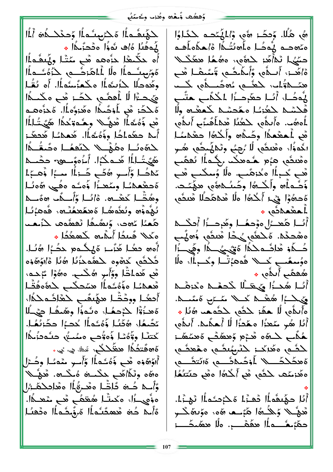وُهِقُم فَهُلُه وِقُنِي وِشَمْلُهِ

لِكَهُبِفَءاُ! هَكْرَمِيسُوءاُ! وَحِكْكِمُوهُ ٱلْمَا لَمَعۡنُا هُ∕َ لَهُ وَٰٓا ہٖدۡصَّیۡطَا ﴾ أُه حكْيعْا جزُّهِم مْي مَتْأَ وهُيفُولُا هُوَرُمِينٌــداًا مالًا عُذكَـــد) حَذَّهُنَــداًا وِهُدِيطًا لِدُرُبِيَّةً أَلَّ مَكْمُ نَسْدَءًا. أَو نُغُّا الْمَسْدُه رَسَمَ مَدْمَا الْمَسْرَةِ وَسَمَّرَةٍ مِنْ النَّصِرَةِ ەَ كُتْ هُي أُوْصَّدًا وَهُرْوُواًا. وَمَرْوُوها هْجِ وَٰٓءُشَالُ شَدْعَهُ وِحْسَوْحُدُا هَيَّـتُـالُمُ ا أَحِد حعَدادًا وذُهُشَاًٰا. هُعجاسًا هُدهَا: لأَمَّة مَا أَسْمَدُ الْمَعْمَدَ الْمَعْشَدُ هَيَ تُالمُ اللَّهِ هَذَا. أُمُّ وَمَسِعَهِ ۚ دَخْسِهِ كلاحُــا وُأْسـو هُكَـــ كُــزاًا ممــرًا وْهــرّا. هُحعْكَمَاسًا ومُمَعَدُّا وُهشَه هفُي هَاهُمَا وهُتْبا كَعْدِهِ. وْابْها وْأَسِيفُ هِوْسِيد لُهُوزُه وِنُعْدَهُا هُعفَعِمُلُهِ: فُوهزُنُا صَّعْبًا مُهْدٍ. وُتَشَيْعًا تَعْتَقُوهَ كَيْتَعْبَ ەڭلا قىنغا أىمْنە كەھھۇل أُه دهدًا هُنَي: هَهْكُوم حَصَبًا هُنُا. ثَكثُم، كَشُوه لِكْعُمْدَٰزُلُمْ شُلْ وْالْوَْثَوْوْهِ هْمٍ هُداخَّا وَؤَأْسٍ هُكْبٍ. وهُوْا مُّكْدُهُ: هْدهاسُا وَوَّەُسُولًا مِسَّحكْبِ لِهُوَوَقْتَا أُدهُـا وودْتُـا مهُنفَب حدْاتُـهحكُا. هُ هِـزُوْٓا ۖ لِا ۡ حَـهَـا وَ مَـُووَّا ۖ وَ هَٰمَهُـا ۚ حَيْبُـلَا مُحَْتَفًا. 5ْكَتُنَا وَّدُّدَمُّا كُحَجُّا حَجَّرْتُعُـا. كَتتْنَا وِتَّەُنْنَا وُوَتُوے وَسُتُّ جَنُّوجُرُهُا ەھقتكىدا مەتكىكىن ئىملار ئىسىمى ، أَاوۡهَٰۚ ۚ وَٰ ۚ وَٰ ٱلۡ ٱلۡ وَٱ ۖ ۖ عَدۡ الۡ وَصَٰـٰٓ ۖ وَصَـٰٓ ۖ لَا ەتەە وْنْݣَائْعَــ دْكْسەن ەْكْسە. ئىمْسىلا وَٱمْــــــهُ هَاضًـا ه هُـــوَٰٓـاُا ه هَادَــلَــهُــزُرِ هؤُي ألَّا، مَكْتَبَلُّا هُعَمَٰى هُي سُعْدًا. هُ أَما حُف هُمصَنَّد) أَ مُ فَحَسَّد أَل مَحْصَلًا مَنْ

ى هُلَا. وَحصَّۃ هُی وْالمُكْحَد حَكَاوُا مكادكهان المشاهده للمؤمر ملكون صَبُهَا لَمْأَمَّدَ لِحَقَّوبِ: وَهُمُّا مِعْكُلًا ةَأَهَّدَ: أَنَــدُّهِ, وَأَنْذَبَهُ وَ مُنْتَشَا قُبَ مئل دؤابن لحقَّمه مُحدَّدُه كَت لِثُوصًا وَالْمَدْرِ الْمَحْكَمَاتِ حَتَّىبِ فْكِسْطِ كَعُزْنُهِ مَعْجَسْطِ كَعْعَدُهِ وِلْا لِمُعهُم، وأَبِدُّو، بِكَعُبُا هُدَلَمُفَيَّبٍ أَبِدُّو، هْج لْمعْمَدًا وحُمدُه وأكْدُه حَمْدَمُــا الكُووُّا، وقْتِلْتُم، لَّا رُجِبُ وثَلالُمْحَمْ، هُب ەھْتتُو ھۇم ھُەھكىرېگەلُّا تُعمَّب ھُے گے۔اُا ہگڑھُے. ہاُا وُسگىے ھُے ذُهَــٰه اُه واُكْـــهُ اوحَــٰفُــههُم ههُمّــد. هَدهُوْا فِيْء أَحْدُهُا ولًا مُدهَدَّمًا مُعضَم أعشمكشيء أنُا هَعِيرُل هُوَجِعًا وِهُوجِدًٰا أَصْلَحُ صِنْهِ هُمْ مِثْمَةَ اخْرُ بِمِثْمَهُ. مَحْمَدُه صُـٰهُوۡ هُدٰصُـُـه حَـٰهُۥ هَقَيۡـٰیُ ـٰهُۥ وَهَٰـٰٓ ـٰٓءُۥ ەۇمممّىپ كىلا قُەھۇتْلا وڭىرلما، ەلْل هُ هِمَّبِيٌّ أَبِدُّهَ ﴾ مْدُونَ مْـفْكُمْ لْلْـتّْمِرْهِ انْكَمْ لْنْ أَ يُكِمْسُوْمٍ مُحَمَّكٌ مُسْتَمِنٍ هُمُمْسِكٌ. هِ أَبِيَّهِ لَا حَقَّ لِكُمْ لِكُمْ هُمَّا \* أَبَا هُبِ مَحْدُا مِعْجُوا لَّا أَحِكَمِهِ. أَبِدَّوِي مُكَسِّى لِمَدَّةٍ وَمُحَمَّدُ وَمَعَمَّدُ مَعْمَّدًا مِنْ مَعْمَدًا مِنْ مَعْمَدًا مِنْ لحصُّم، وهُرَكَــز لِكَنْرِمُ، مشْهَدْمَ وهُ مَسْرَعَةٍ ەُھكَـلـكَـــــلا لُمْوَـمُـــمِي مَاسَّــُـــمِي وهُزِيَكُما لِحَقَّقٍ هُوَ أَيْحُدُهُ! وَهُوَ حَبَّتَتُغُا أَمَّا حَمَّىقُواْ دُفَّزْا هَجْ حَسَّواْ نَهِـزْا. هُمْ ﴾ وَ ﴿ هُـُوا هَٰٓ؛ مَهُ مَعْ وَ وَ لَا يَكْـَـبِ حكَبُمُـــولُمْ مِفَقَــــــ. ولُا مهمَّمتَـــــز